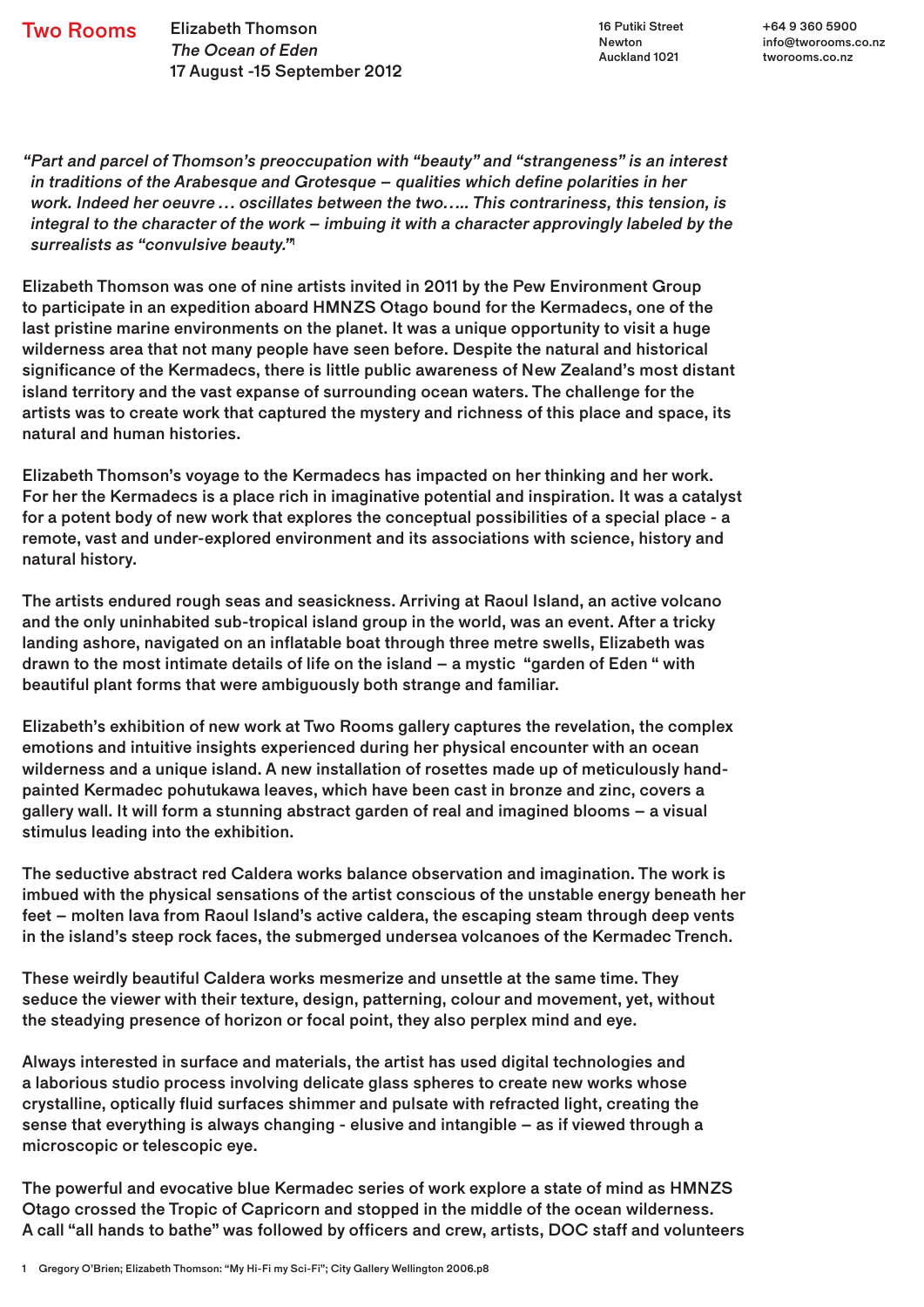Two Rooms Elizabeth Thomson The Ocean of Eden 17 August -15 September 2012

16 Putiki Street Newton Auckland 1021

+64 9 360 5900 info@tworooms.co.nz tworooms.co.nz

"Part and parcel of Thomson's preoccupation with "beauty" and "strangeness" is an interest in traditions of the Arabesque and Grotesque – qualities which define polarities in her work. Indeed her oeuvre … oscillates between the two….. This contrariness, this tension, is integral to the character of the work – imbuing it with a character approvingly labeled by the surrealists as "convulsive beauty."

Elizabeth Thomson was one of nine artists invited in 2011 by the Pew Environment Group to participate in an expedition aboard HMNZS Otago bound for the Kermadecs, one of the last pristine marine environments on the planet. It was a unique opportunity to visit a huge wilderness area that not many people have seen before. Despite the natural and historical significance of the Kermadecs, there is little public awareness of New Zealand's most distant island territory and the vast expanse of surrounding ocean waters. The challenge for the artists was to create work that captured the mystery and richness of this place and space, its natural and human histories.

Elizabeth Thomson's voyage to the Kermadecs has impacted on her thinking and her work. For her the Kermadecs is a place rich in imaginative potential and inspiration. It was a catalyst for a potent body of new work that explores the conceptual possibilities of a special place - a remote, vast and under-explored environment and its associations with science, history and natural history.

The artists endured rough seas and seasickness. Arriving at Raoul Island, an active volcano and the only uninhabited sub-tropical island group in the world, was an event. After a tricky landing ashore, navigated on an inflatable boat through three metre swells, Elizabeth was drawn to the most intimate details of life on the island – a mystic "garden of Eden " with beautiful plant forms that were ambiguously both strange and familiar.

Elizabeth's exhibition of new work at Two Rooms gallery captures the revelation, the complex emotions and intuitive insights experienced during her physical encounter with an ocean wilderness and a unique island. A new installation of rosettes made up of meticulously handpainted Kermadec pohutukawa leaves, which have been cast in bronze and zinc, covers a gallery wall. It will form a stunning abstract garden of real and imagined blooms – a visual stimulus leading into the exhibition.

The seductive abstract red Caldera works balance observation and imagination. The work is imbued with the physical sensations of the artist conscious of the unstable energy beneath her feet – molten lava from Raoul Island's active caldera, the escaping steam through deep vents in the island's steep rock faces, the submerged undersea volcanoes of the Kermadec Trench.

These weirdly beautiful Caldera works mesmerize and unsettle at the same time. They seduce the viewer with their texture, design, patterning, colour and movement, yet, without the steadying presence of horizon or focal point, they also perplex mind and eye.

Always interested in surface and materials, the artist has used digital technologies and a laborious studio process involving delicate glass spheres to create new works whose crystalline, optically fluid surfaces shimmer and pulsate with refracted light, creating the sense that everything is always changing - elusive and intangible – as if viewed through a microscopic or telescopic eye.

The powerful and evocative blue Kermadec series of work explore a state of mind as HMNZS Otago crossed the Tropic of Capricorn and stopped in the middle of the ocean wilderness. A call "all hands to bathe" was followed by officers and crew, artists, DOC staff and volunteers